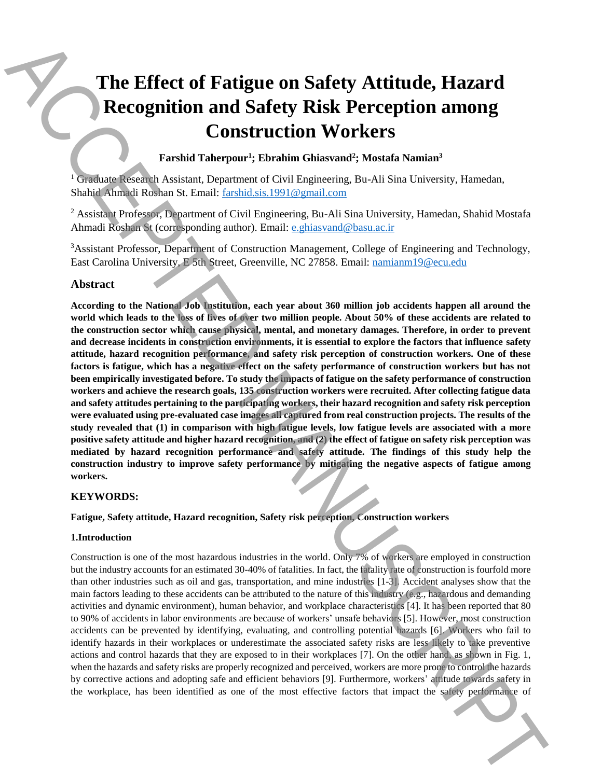# **The Effect of Fatigue on Safety Attitude, Hazard Recognition and Safety Risk Perception among Construction Workers**

## **Farshid Taherpour<sup>1</sup> ; Ebrahim Ghiasvand<sup>2</sup> ; Mostafa Namian<sup>3</sup>**

<sup>1</sup> Graduate Research Assistant, Department of Civil Engineering, Bu-Ali Sina University, Hamedan, Shahid Ahmadi Roshan St. Email: farshid.sis.1991@gmail.com

<sup>2</sup> Assistant Professor, Department of Civil Engineering, Bu-Ali Sina University, Hamedan, Shahid Mostafa Ahmadi Roshan St (corresponding author). Email: e.ghiasvand@basu.ac.ir

<sup>3</sup>Assistant Professor, Department of Construction Management, College of Engineering and Technology, East Carolina University, E 5th Street, Greenville, NC 27858. Email: namianm19@ecu.edu

### **Abstract**

**According to the National Job Institution, each year about 360 million job accidents happen all around the world which leads to the loss of lives of over two million people. About 50% of these accidents are related to the construction sector which cause physical, mental, and monetary damages. Therefore, in order to prevent and decrease incidents in construction environments, it is essential to explore the factors that influence safety attitude, hazard recognition performance, and safety risk perception of construction workers. One of these factors is fatigue, which has a negative effect on the safety performance of construction workers but has not been empirically investigated before. To study the impacts of fatigue on the safety performance of construction workers and achieve the research goals, 135 construction workers were recruited. After collecting fatigue data and safety attitudes pertaining to the participating workers, their hazard recognition and safety risk perception were evaluated using pre-evaluated case images all captured from real construction projects. The results of the study revealed that (1) in comparison with high fatigue levels, low fatigue levels are associated with a more positive safety attitude and higher hazard recognition, and (2) the effect of fatigue on safety risk perception was mediated by hazard recognition performance and safety attitude. The findings of this study help the construction industry to improve safety performance by mitigating the negative aspects of fatigue among workers.** The Effect of Fatigure on Safety Risk Perception annoy contract the most effect in the most effect in the most effect in the most effect in the most effect in the most effect in the most effect in the most effect in the m

#### **KEYWORDS:**

**Fatigue, Safety attitude, Hazard recognition, Safety risk perception, Construction workers**

#### **1.Introduction**

Construction is one of the most hazardous industries in the world. Only 7% of workers are employed in construction but the industry accounts for an estimated 30-40% of fatalities. In fact, the fatality rate of construction is fourfold more than other industries such as oil and gas, transportation, and mine industries [1-3]. Accident analyses show that the main factors leading to these accidents can be attributed to the nature of this industry (e.g., hazardous and demanding activities and dynamic environment), human behavior, and workplace characteristics [4]. It has been reported that 80 to 90% of accidents in labor environments are because of workers' unsafe behaviors [5]. However, most construction accidents can be prevented by identifying, evaluating, and controlling potential hazards [6]. Workers who fail to identify hazards in their workplaces or underestimate the associated safety risks are less likely to take preventive actions and control hazards that they are exposed to in their workplaces [7]. On the other hand, as shown in Fig. 1, when the hazards and safety risks are properly recognized and perceived, workers are more prone to control the hazards by corrective actions and adopting safe and efficient behaviors [9]. Furthermore, workers' attitude towards safety in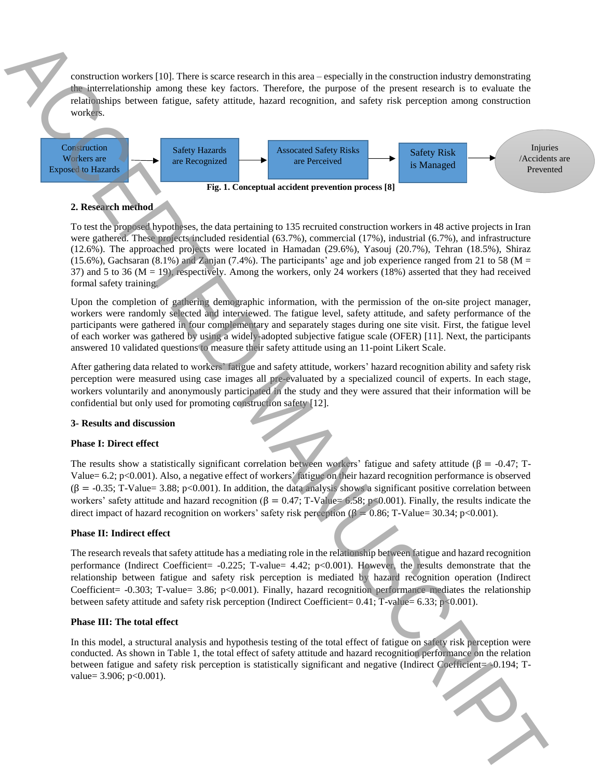construction workers [10]. There is scarce research in this area – especially in the construction industry demonstrating the interrelationship among these key factors. Therefore, the purpose of the present research is to evaluate the relationships between fatigue, safety attitude, hazard recognition, and safety risk perception among construction workers.



#### **2. Research method**

To test the proposed hypotheses, the data pertaining to 135 recruited construction workers in 48 active projects in Iran were gathered. These projects included residential (63.7%), commercial (17%), industrial (6.7%), and infrastructure (12.6%). The approached projects were located in Hamadan (29.6%), Yasouj (20.7%), Tehran (18.5%), Shiraz (15.6%), Gachsaran (8.1%) and Zanjan (7.4%). The participants' age and job experience ranged from 21 to 58 ( $M =$ 37) and 5 to 36 (M = 19), respectively. Among the workers, only 24 workers (18%) asserted that they had received formal safety training. Construction can control in Figure is cleared to the case of the fibre action in the property control in the construction of the construction of the construction of the construction of the construction of the construction

Upon the completion of gathering demographic information, with the permission of the on-site project manager, workers were randomly selected and interviewed. The fatigue level, safety attitude, and safety performance of the participants were gathered in four complementary and separately stages during one site visit. First, the fatigue level of each worker was gathered by using a widely-adopted subjective fatigue scale (OFER) [11]. Next, the participants answered 10 validated questions to measure their safety attitude using an 11-point Likert Scale.

After gathering data related to workers' fatigue and safety attitude, workers' hazard recognition ability and safety risk perception were measured using case images all pre-evaluated by a specialized council of experts. In each stage, workers voluntarily and anonymously participated in the study and they were assured that their information will be confidential but only used for promoting construction safety [12].

#### **3- Results and discussion**

#### **Phase I: Direct effect**

The results show a statistically significant correlation between workers' fatigue and safety attitude ( $\beta$  = -0.47; T-Value= 6.2; p<0.001). Also, a negative effect of workers' fatigue on their hazard recognition performance is observed  $(\beta = -0.35; T\text{-Value} = 3.88; p<0.001)$ . In addition, the data analysis shows a significant positive correlation between workers' safety attitude and hazard recognition ( $\beta = 0.47$ ; T-Value= 6.58; p<0.001). Finally, the results indicate the direct impact of hazard recognition on workers' safety risk perception ( $\beta = 0.86$ ; T-Value= 30.34; p<0.001).

#### **Phase II: Indirect effect**

The research reveals that safety attitude has a mediating role in the relationship between fatigue and hazard recognition performance (Indirect Coefficient= -0.225; T-value= 4.42; p<0.001). However, the results demonstrate that the relationship between fatigue and safety risk perception is mediated by hazard recognition operation (Indirect Coefficient= -0.303; T-value= 3.86; p<0.001). Finally, hazard recognition performance mediates the relationship between safety attitude and safety risk perception (Indirect Coefficient=  $0.41$ ; T-value=  $6.33$ ; p $\geq 0.001$ ).

#### **Phase III: The total effect**

In this model, a structural analysis and hypothesis testing of the total effect of fatigue on safety risk perception were conducted. As shown in Table 1, the total effect of safety attitude and hazard recognition performance on the relation between fatigue and safety risk perception is statistically significant and negative (Indirect Coefficient= -0.194; Tvalue= 3.906; p<0.001).